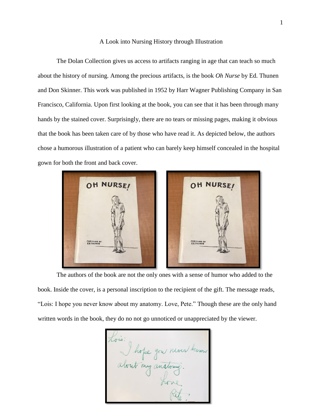## A Look into Nursing History through Illustration

The Dolan Collection gives us access to artifacts ranging in age that can teach so much about the history of nursing. Among the precious artifacts, is the book *Oh Nurse* by Ed. Thunen and Don Skinner. This work was published in 1952 by Harr Wagner Publishing Company in San Francisco, California. Upon first looking at the book, you can see that it has been through many hands by the stained cover. Surprisingly, there are no tears or missing pages, making it obvious that the book has been taken care of by those who have read it. As depicted below, the authors chose a humorous illustration of a patient who can barely keep himself concealed in the hospital gown for both the front and back cover.





The authors of the book are not the only ones with a sense of humor who added to the book. Inside the cover, is a personal inscription to the recipient of the gift. The message reads, "Lois: I hope you never know about my anatomy. Love, Pete." Though these are the only hand written words in the book, they do no not go unnoticed or unappreciated by the viewer.

Lois: I hope you niver know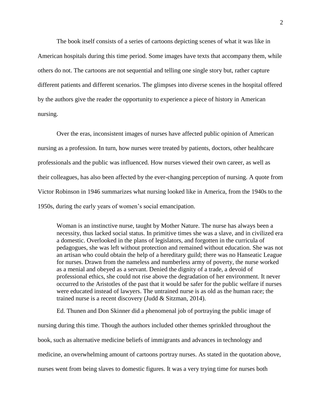The book itself consists of a series of cartoons depicting scenes of what it was like in American hospitals during this time period. Some images have texts that accompany them, while others do not. The cartoons are not sequential and telling one single story but, rather capture different patients and different scenarios. The glimpses into diverse scenes in the hospital offered by the authors give the reader the opportunity to experience a piece of history in American nursing.

Over the eras, inconsistent images of nurses have affected public opinion of American nursing as a profession. In turn, how nurses were treated by patients, doctors, other healthcare professionals and the public was influenced. How nurses viewed their own career, as well as their colleagues, has also been affected by the ever-changing perception of nursing. A quote from Victor Robinson in 1946 summarizes what nursing looked like in America, from the 1940s to the 1950s, during the early years of women's social emancipation.

Woman is an instinctive nurse, taught by Mother Nature. The nurse has always been a necessity, thus lacked social status. In primitive times she was a slave, and in civilized era a domestic. Overlooked in the plans of legislators, and forgotten in the curricula of pedagogues, she was left without protection and remained without education. She was not an artisan who could obtain the help of a hereditary guild; there was no Hanseatic League for nurses. Drawn from the nameless and numberless army of poverty, the nurse worked as a menial and obeyed as a servant. Denied the dignity of a trade, a devoid of professional ethics, she could not rise above the degradation of her environment. It never occurred to the Aristotles of the past that it would be safer for the public welfare if nurses were educated instead of lawyers. The untrained nurse is as old as the human race; the trained nurse is a recent discovery (Judd & Sitzman, 2014).

Ed. Thunen and Don Skinner did a phenomenal job of portraying the public image of nursing during this time. Though the authors included other themes sprinkled throughout the book, such as alternative medicine beliefs of immigrants and advances in technology and medicine, an overwhelming amount of cartoons portray nurses. As stated in the quotation above, nurses went from being slaves to domestic figures. It was a very trying time for nurses both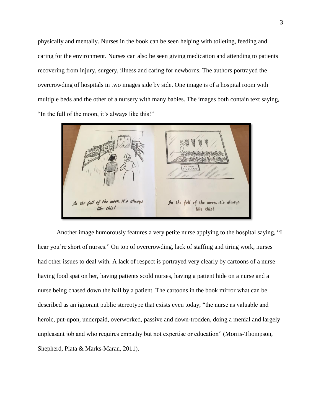physically and mentally. Nurses in the book can be seen helping with toileting, feeding and caring for the environment. Nurses can also be seen giving medication and attending to patients recovering from injury, surgery, illness and caring for newborns. The authors portrayed the overcrowding of hospitals in two images side by side. One image is of a hospital room with multiple beds and the other of a nursery with many babies. The images both contain text saying, "In the full of the moon, it's always like this!"



Another image humorously features a very petite nurse applying to the hospital saying, "I hear you're short of nurses." On top of overcrowding, lack of staffing and tiring work, nurses had other issues to deal with. A lack of respect is portrayed very clearly by cartoons of a nurse having food spat on her, having patients scold nurses, having a patient hide on a nurse and a nurse being chased down the hall by a patient. The cartoons in the book mirror what can be described as an ignorant public stereotype that exists even today; "the nurse as valuable and heroic, put-upon, underpaid, overworked, passive and down-trodden, doing a menial and largely unpleasant job and who requires empathy but not expertise or education" (Morris-Thompson, Shepherd, Plata & Marks-Maran, 2011).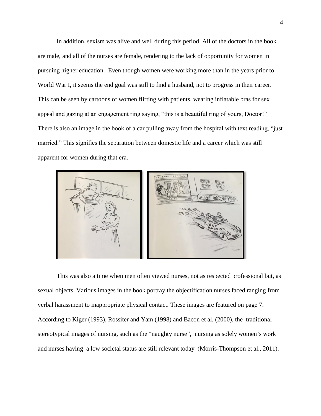In addition, sexism was alive and well during this period. All of the doctors in the book are male, and all of the nurses are female, rendering to the lack of opportunity for women in pursuing higher education. Even though women were working more than in the years prior to World War I, it seems the end goal was still to find a husband, not to progress in their career. This can be seen by cartoons of women flirting with patients, wearing inflatable bras for sex appeal and gazing at an engagement ring saying, "this is a beautiful ring of yours, Doctor!" There is also an image in the book of a car pulling away from the hospital with text reading, "just married." This signifies the separation between domestic life and a career which was still apparent for women during that era.



This was also a time when men often viewed nurses, not as respected professional but, as sexual objects. Various images in the book portray the objectification nurses faced ranging from verbal harassment to inappropriate physical contact. These images are featured on page 7. According to Kiger (1993), Rossiter and Yam (1998) and Bacon et al. (2000), the traditional stereotypical images of nursing, such as the "naughty nurse", nursing as solely women's work and nurses having a low societal status are still relevant today (Morris-Thompson et al., 2011).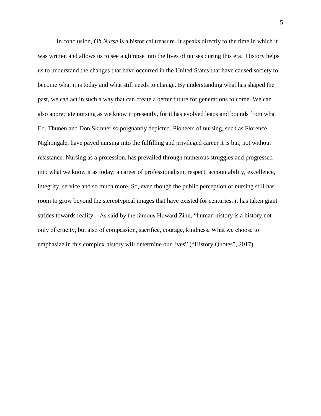In conclusion, *Oh Nurse* is a historical treasure. It speaks directly to the time in which it was written and allows us to see a glimpse into the lives of nurses during this era. History helps us to understand the changes that have occurred in the United States that have caused society to become what it is today and what still needs to change. By understanding what has shaped the past, we can act in such a way that can create a better future for generations to come. We can also appreciate nursing as we know it presently, for it has evolved leaps and bounds from what Ed. Thunen and Don Skinner so poignantly depicted. Pioneers of nursing, such as Florence Nightingale, have paved nursing into the fulfilling and privileged career it is but, not without resistance. Nursing as a profession, has prevailed through numerous struggles and progressed into what we know it as today: a career of professionalism, respect, accountability, excellence, integrity, service and so much more. So, even though the public perception of nursing still has room to grow beyond the stereotypical images that have existed for centuries, it has taken giant strides towards reality. As said by the famous Howard Zinn, "human history is a history not only of cruelty, but also of compassion, sacrifice, courage, kindness. What we choose to emphasize in this complex history will determine our lives" ("History Quotes", 2017).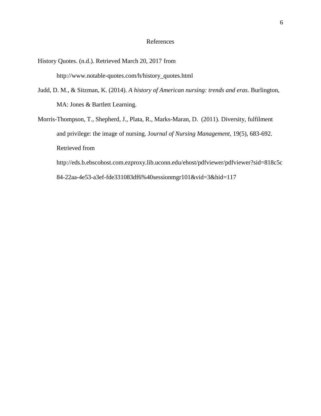## References

- History Quotes. (n.d.). Retrieved March 20, 2017 from http://www.notable-quotes.com/h/history\_quotes.html
- Judd, D. M., & Sitzman, K. (2014). *A history of American nursing: trends and eras*. Burlington, MA: Jones & Bartlett Learning.
- Morris-Thompson, T., Shepherd, J., Plata, R., Marks-Maran, D. (2011). Diversity, fulfilment and privilege: the image of nursing. J*ournal of Nursing Management,* 19(5), 683-692. Retrieved from http://eds.b.ebscohost.com.ezproxy.lib.uconn.edu/ehost/pdfviewer/pdfviewer?sid=818c5c

84-22aa-4e53-a3ef-fde331083df6%40sessionmgr101&vid=3&hid=117